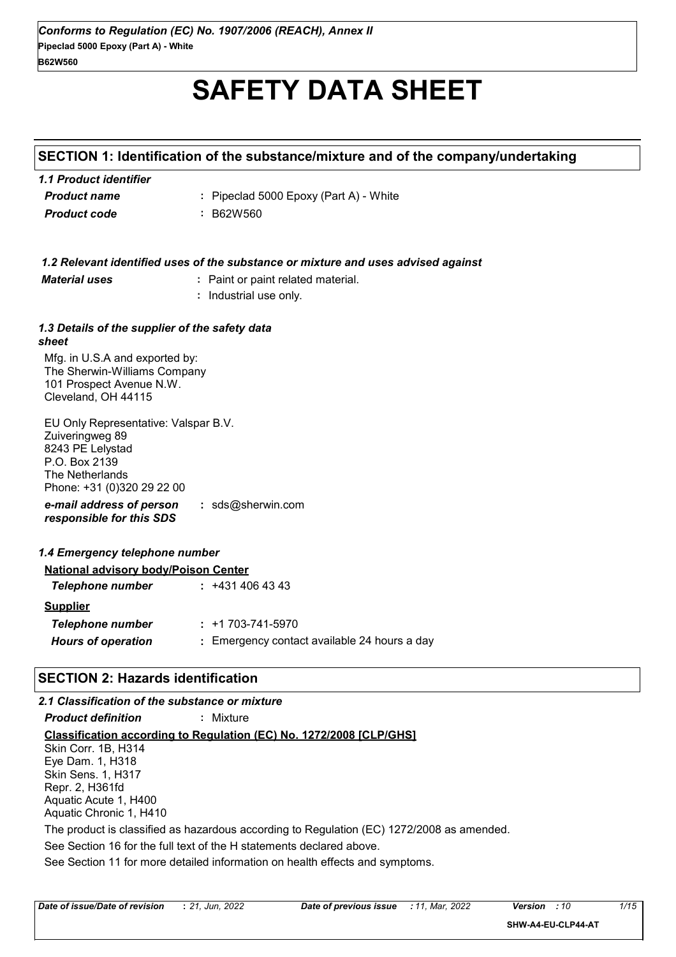# **SAFETY DATA SHEET**

## **SECTION 1: Identification of the substance/mixture and of the company/undertaking**

| 1.1 Product identifier |                                        |
|------------------------|----------------------------------------|
| <b>Product name</b>    | : Pipeclad 5000 Epoxy (Part A) - White |
| <b>Product code</b>    | : B62W560                              |

| <b>Material uses</b>                                                                                                                          | 1.2 Relevant identified uses of the substance or mixture and uses advised against<br>: Paint or paint related material.<br>: Industrial use only. |
|-----------------------------------------------------------------------------------------------------------------------------------------------|---------------------------------------------------------------------------------------------------------------------------------------------------|
| 1.3 Details of the supplier of the safety data<br>sheet                                                                                       |                                                                                                                                                   |
| Mfg. in U.S.A and exported by:<br>The Sherwin-Williams Company<br>101 Prospect Avenue N.W.<br>Cleveland, OH 44115                             |                                                                                                                                                   |
| EU Only Representative: Valspar B.V.<br>Zuiveringweg 89<br>8243 PE Lelystad<br>P.O. Box 2139<br>The Netherlands<br>Phone: +31 (0)320 29 22 00 |                                                                                                                                                   |
| e-mail address of person<br>responsible for this SDS                                                                                          | : $sds@sherwin.com$                                                                                                                               |
| 1.4 Emergency telephone number                                                                                                                |                                                                                                                                                   |
| <b>National advisory body/Poison Center</b>                                                                                                   |                                                                                                                                                   |
| <b>Telephone number</b>                                                                                                                       | : 4314064343                                                                                                                                      |
| <b>Supplier</b>                                                                                                                               |                                                                                                                                                   |
| <b>Telephone number</b>                                                                                                                       | $: +1703 - 741 - 5970$                                                                                                                            |
| <b>Hours of operation</b>                                                                                                                     | : Emergency contact available 24 hours a day                                                                                                      |
| <b>SECTION 2: Hazards identification</b>                                                                                                      |                                                                                                                                                   |
| 2.1 Classification of the substance or mixture                                                                                                |                                                                                                                                                   |
| <b>Product definition</b>                                                                                                                     | : Mixture                                                                                                                                         |

See Section 11 for more detailed information on health effects and symptoms. **Classification according to Regulation (EC) No. 1272/2008 [CLP/GHS]** See Section 16 for the full text of the H statements declared above. Skin Corr. 1B, H314 Eye Dam. 1, H318 Skin Sens. 1, H317 Repr. 2, H361fd Aquatic Acute 1, H400 Aquatic Chronic 1, H410 The product is classified as hazardous according to Regulation (EC) 1272/2008 as amended.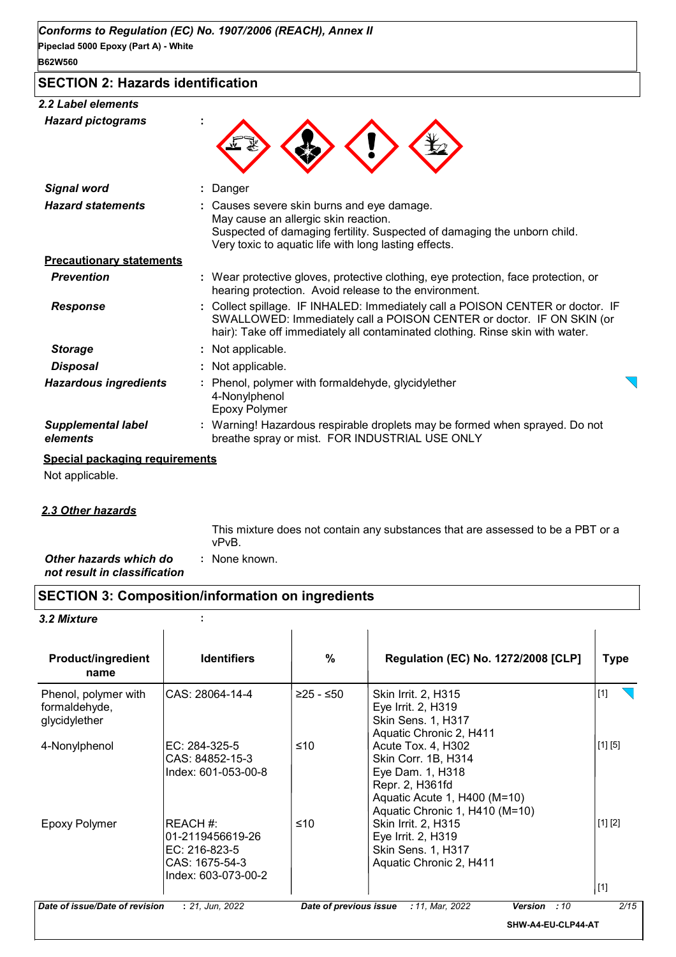## **SECTION 2: Hazards identification**

#### *2.2 Label elements*

| <b>Hazard pictograms</b>              |                                                                                                                                                                                                                                          |  |
|---------------------------------------|------------------------------------------------------------------------------------------------------------------------------------------------------------------------------------------------------------------------------------------|--|
| <b>Signal word</b>                    | Danger                                                                                                                                                                                                                                   |  |
| <b>Hazard statements</b>              | : Causes severe skin burns and eye damage.<br>May cause an allergic skin reaction.<br>Suspected of damaging fertility. Suspected of damaging the unborn child.<br>Very toxic to aquatic life with long lasting effects.                  |  |
| <b>Precautionary statements</b>       |                                                                                                                                                                                                                                          |  |
| <b>Prevention</b>                     | : Wear protective gloves, protective clothing, eye protection, face protection, or<br>hearing protection. Avoid release to the environment.                                                                                              |  |
| <b>Response</b>                       | : Collect spillage. IF INHALED: Immediately call a POISON CENTER or doctor. IF<br>SWALLOWED: Immediately call a POISON CENTER or doctor. IF ON SKIN (or<br>hair): Take off immediately all contaminated clothing. Rinse skin with water. |  |
| <b>Storage</b>                        | : Not applicable.                                                                                                                                                                                                                        |  |
| <b>Disposal</b>                       | : Not applicable.                                                                                                                                                                                                                        |  |
| <b>Hazardous ingredients</b>          | : Phenol, polymer with formaldehyde, glycidylether<br>4-Nonylphenol<br><b>Epoxy Polymer</b>                                                                                                                                              |  |
| <b>Supplemental label</b><br>elements | : Warning! Hazardous respirable droplets may be formed when sprayed. Do not<br>breathe spray or mist. FOR INDUSTRIAL USE ONLY                                                                                                            |  |

#### **Special packaging requirements**

Not applicable.

#### *2.3 Other hazards*

This mixture does not contain any substances that are assessed to be a PBT or a vPvB.

*Other hazards which do* **:** *not result in classification* : None known.

## **SECTION 3: Composition/information on ingredients**

#### *3.2 Mixture* **:**

| <b>Product/ingredient</b><br>name                      | <b>Identifiers</b>                                                                      | $\%$                   | <b>Regulation (EC) No. 1272/2008 [CLP]</b>                                                                                                         | Type             |
|--------------------------------------------------------|-----------------------------------------------------------------------------------------|------------------------|----------------------------------------------------------------------------------------------------------------------------------------------------|------------------|
| Phenol, polymer with<br>formaldehyde,<br>glycidylether | ICAS: 28064-14-4                                                                        | $≥25 - ≤50$            | <b>Skin Irrit. 2, H315</b><br>Eye Irrit. 2, H319<br>Skin Sens. 1, H317<br>Aquatic Chronic 2, H411                                                  | $[1]$            |
| 4-Nonylphenol                                          | EC: 284-325-5<br>CAS: 84852-15-3<br>Index: 601-053-00-8                                 | ≤10                    | Acute Tox. 4, H302<br>Skin Corr. 1B, H314<br>Eye Dam. 1, H318<br>Repr. 2, H361fd<br>Aquatic Acute 1, H400 (M=10)<br>Aquatic Chronic 1, H410 (M=10) | [1] [5]          |
| <b>Epoxy Polymer</b>                                   | IREACH #:<br>01-2119456619-26<br>EC: 216-823-5<br>CAS: 1675-54-3<br>Index: 603-073-00-2 | ≤10                    | Skin Irrit. 2, H315<br>Eye Irrit. 2, H319<br>Skin Sens. 1, H317<br>Aquatic Chronic 2, H411                                                         | [1] [2]<br>$[1]$ |
| Date of issue/Date of revision                         | : 21, Jun, 2022                                                                         | Date of previous issue | : 11, Mar, 2022<br><b>Version</b><br>:10                                                                                                           | 2/15             |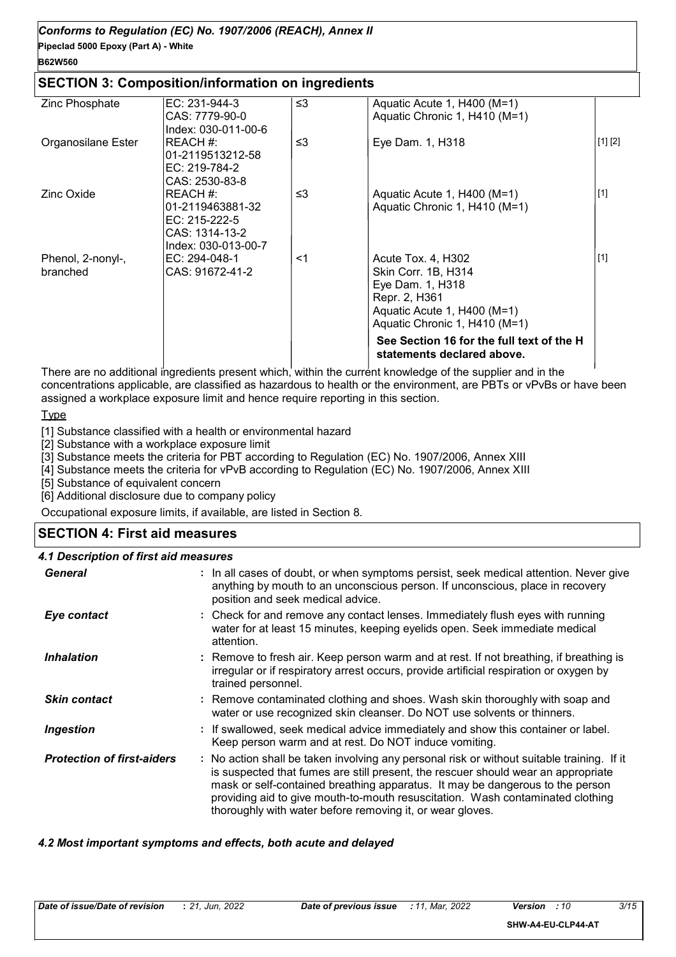## *Conforms to Regulation (EC) No. 1907/2006 (REACH), Annex II*

**Pipeclad 5000 Epoxy (Part A) - White**

## **B62W560**

#### **SECTION 3: Composition/information on ingredients**

| Zinc Phosphate                | $EC: 231-944-3$<br>CAS: 7779-90-0<br>Index: 030-011-00-6                                 | $\leq$ 3 | Aquatic Acute 1, H400 (M=1)<br>Aquatic Chronic 1, H410 (M=1)                                                                                   |         |
|-------------------------------|------------------------------------------------------------------------------------------|----------|------------------------------------------------------------------------------------------------------------------------------------------------|---------|
| Organosilane Ester            | IREACH #:<br>01-2119513212-58<br>EC: 219-784-2<br>CAS: 2530-83-8                         | $\leq$ 3 | Eye Dam. 1, H318                                                                                                                               | [1] [2] |
| Zinc Oxide                    | REACH #:<br>01-2119463881-32<br>$EC: 215-222-5$<br>CAS: 1314-13-2<br>Index: 030-013-00-7 | ≤3       | Aquatic Acute 1, H400 (M=1)<br>Aquatic Chronic 1, H410 (M=1)                                                                                   | $[1]$   |
| Phenol, 2-nonyl-,<br>branched | EC: 294-048-1<br>CAS: 91672-41-2                                                         | <1       | Acute Tox. 4, H302<br>Skin Corr. 1B, H314<br>Eye Dam. 1, H318<br>Repr. 2, H361<br>Aquatic Acute 1, H400 (M=1)<br>Aquatic Chronic 1, H410 (M=1) | $[1]$   |
|                               |                                                                                          |          | See Section 16 for the full text of the H<br>statements declared above.                                                                        |         |

There are no additional ingredients present which, within the current knowledge of the supplier and in the concentrations applicable, are classified as hazardous to health or the environment, are PBTs or vPvBs or have been assigned a workplace exposure limit and hence require reporting in this section.

**Type** 

[1] Substance classified with a health or environmental hazard

[2] Substance with a workplace exposure limit

[3] Substance meets the criteria for PBT according to Regulation (EC) No. 1907/2006, Annex XIII

[4] Substance meets the criteria for vPvB according to Regulation (EC) No. 1907/2006, Annex XIII

[5] Substance of equivalent concern

[6] Additional disclosure due to company policy

Occupational exposure limits, if available, are listed in Section 8.

## **SECTION 4: First aid measures**

## *4.1 Description of first aid measures*

| <b>General</b>                    | : In all cases of doubt, or when symptoms persist, seek medical attention. Never give<br>anything by mouth to an unconscious person. If unconscious, place in recovery<br>position and seek medical advice.                                                                                                                                                                                                     |
|-----------------------------------|-----------------------------------------------------------------------------------------------------------------------------------------------------------------------------------------------------------------------------------------------------------------------------------------------------------------------------------------------------------------------------------------------------------------|
| Eye contact                       | : Check for and remove any contact lenses. Immediately flush eyes with running<br>water for at least 15 minutes, keeping eyelids open. Seek immediate medical<br>attention.                                                                                                                                                                                                                                     |
| <b>Inhalation</b>                 | : Remove to fresh air. Keep person warm and at rest. If not breathing, if breathing is<br>irregular or if respiratory arrest occurs, provide artificial respiration or oxygen by<br>trained personnel.                                                                                                                                                                                                          |
| <b>Skin contact</b>               | : Remove contaminated clothing and shoes. Wash skin thoroughly with soap and<br>water or use recognized skin cleanser. Do NOT use solvents or thinners.                                                                                                                                                                                                                                                         |
| <b>Ingestion</b>                  | : If swallowed, seek medical advice immediately and show this container or label.<br>Keep person warm and at rest. Do NOT induce vomiting.                                                                                                                                                                                                                                                                      |
| <b>Protection of first-aiders</b> | : No action shall be taken involving any personal risk or without suitable training. If it<br>is suspected that fumes are still present, the rescuer should wear an appropriate<br>mask or self-contained breathing apparatus. It may be dangerous to the person<br>providing aid to give mouth-to-mouth resuscitation. Wash contaminated clothing<br>thoroughly with water before removing it, or wear gloves. |

#### *4.2 Most important symptoms and effects, both acute and delayed*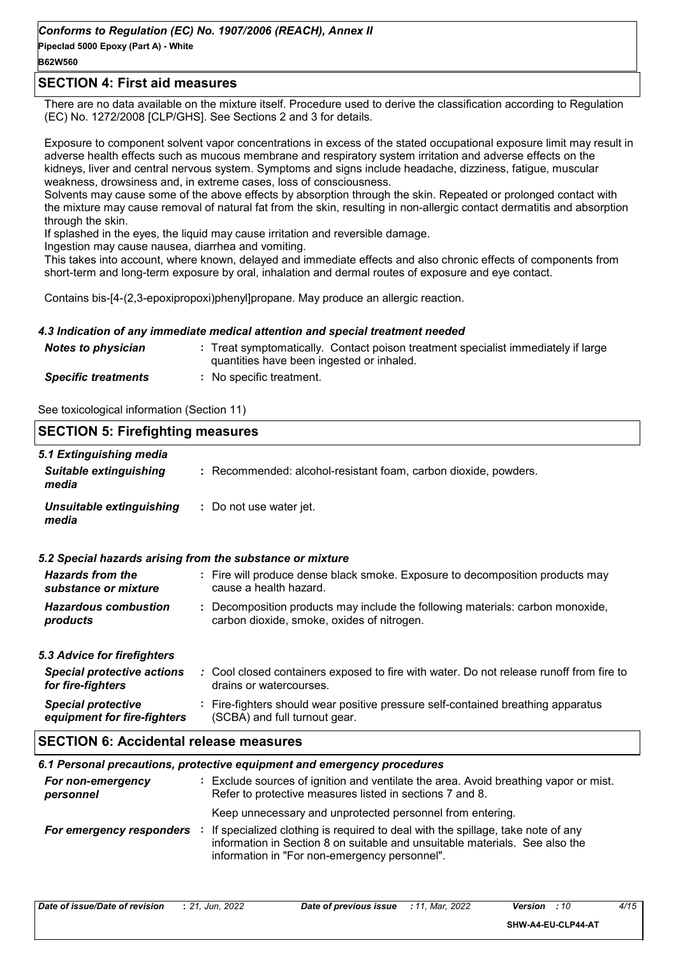#### **B62W560**

#### **SECTION 4: First aid measures**

There are no data available on the mixture itself. Procedure used to derive the classification according to Regulation (EC) No. 1272/2008 [CLP/GHS]. See Sections 2 and 3 for details.

Exposure to component solvent vapor concentrations in excess of the stated occupational exposure limit may result in adverse health effects such as mucous membrane and respiratory system irritation and adverse effects on the kidneys, liver and central nervous system. Symptoms and signs include headache, dizziness, fatigue, muscular weakness, drowsiness and, in extreme cases, loss of consciousness.

Solvents may cause some of the above effects by absorption through the skin. Repeated or prolonged contact with the mixture may cause removal of natural fat from the skin, resulting in non-allergic contact dermatitis and absorption through the skin.

If splashed in the eyes, the liquid may cause irritation and reversible damage.

Ingestion may cause nausea, diarrhea and vomiting.

This takes into account, where known, delayed and immediate effects and also chronic effects of components from short-term and long-term exposure by oral, inhalation and dermal routes of exposure and eye contact.

Contains bis-[4-(2,3-epoxipropoxi)phenyl]propane. May produce an allergic reaction.

#### *4.3 Indication of any immediate medical attention and special treatment needed*

| <b>Notes to physician</b>  | : Treat symptomatically. Contact poison treatment specialist immediately if large<br>quantities have been ingested or inhaled. |
|----------------------------|--------------------------------------------------------------------------------------------------------------------------------|
| <b>Specific treatments</b> | No specific treatment.                                                                                                         |

See toxicological information (Section 11)

| <b>SECTION 5: Firefighting measures</b>                  |                                                                                                                                                  |  |
|----------------------------------------------------------|--------------------------------------------------------------------------------------------------------------------------------------------------|--|
| 5.1 Extinguishing media<br><b>Suitable extinguishing</b> | : Recommended: alcohol-resistant foam, carbon dioxide, powders.                                                                                  |  |
| media                                                    |                                                                                                                                                  |  |
| Unsuitable extinguishing<br>media                        | : Do not use water jet.                                                                                                                          |  |
|                                                          | 5.2 Special hazards arising from the substance or mixture                                                                                        |  |
| <b>Hazards from the</b><br>substance or mixture          | : Fire will produce dense black smoke. Exposure to decomposition products may<br>cause a health hazard.                                          |  |
| <b>Hazardous combustion</b><br>products                  | : Decomposition products may include the following materials: carbon monoxide,<br>carbon dioxide, smoke, oxides of nitrogen.                     |  |
| 5.3 Advice for firefighters                              |                                                                                                                                                  |  |
| <b>Special protective actions</b><br>for fire-fighters   | : Cool closed containers exposed to fire with water. Do not release runoff from fire to<br>drains or watercourses.                               |  |
| <b>Special protective</b><br>equipment for fire-fighters | : Fire-fighters should wear positive pressure self-contained breathing apparatus<br>(SCBA) and full turnout gear.                                |  |
| <b>SECTION 6: Accidental release measures</b>            |                                                                                                                                                  |  |
|                                                          | 6.1 Personal precautions, protective equipment and emergency procedures                                                                          |  |
| For non-emergency<br>personnel                           | : Exclude sources of ignition and ventilate the area. Avoid breathing vapor or mist.<br>Refer to protective measures listed in sections 7 and 8. |  |
|                                                          | Keep unnecessary and unprotected personnel from entering.                                                                                        |  |

*For emergency responders* : If specialized clothing is required to deal with the spillage, take note of any information in Section 8 on suitable and unsuitable materials. See also the information in "For non-emergency personnel".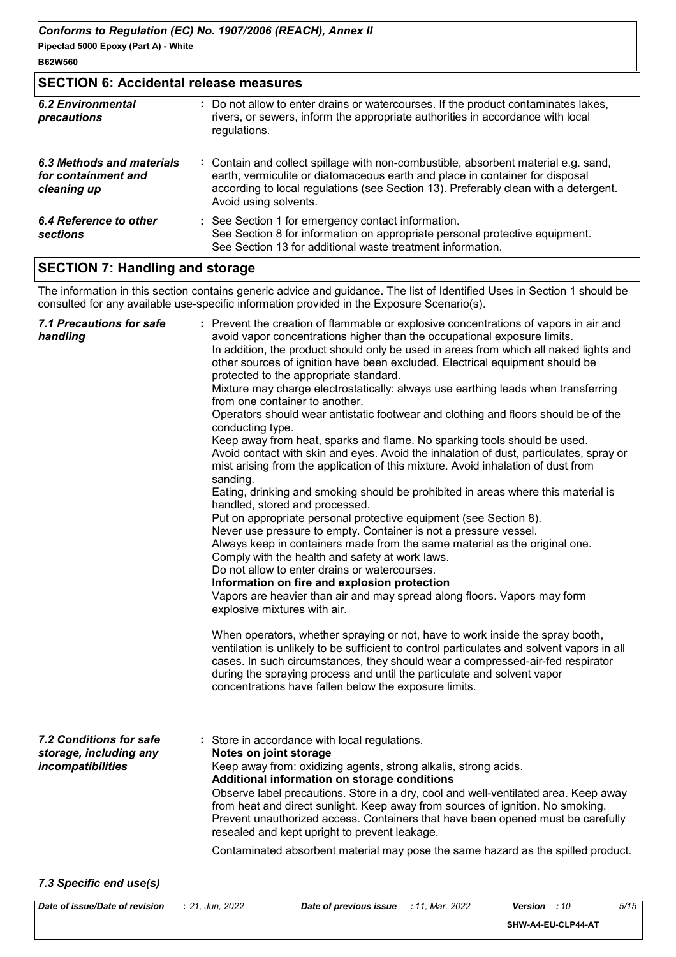**B62W560**

## **SECTION 6: Accidental release measures**

| <b>6.2 Environmental</b><br>precautions                         | : Do not allow to enter drains or watercourses. If the product contaminates lakes,<br>rivers, or sewers, inform the appropriate authorities in accordance with local<br>regulations.                                                                                               |
|-----------------------------------------------------------------|------------------------------------------------------------------------------------------------------------------------------------------------------------------------------------------------------------------------------------------------------------------------------------|
| 6.3 Methods and materials<br>for containment and<br>cleaning up | : Contain and collect spillage with non-combustible, absorbent material e.g. sand,<br>earth, vermiculite or diatomaceous earth and place in container for disposal<br>according to local regulations (see Section 13). Preferably clean with a detergent.<br>Avoid using solvents. |
| 6.4 Reference to other<br>sections                              | : See Section 1 for emergency contact information.<br>See Section 8 for information on appropriate personal protective equipment.<br>See Section 13 for additional waste treatment information.                                                                                    |

## **SECTION 7: Handling and storage**

The information in this section contains generic advice and guidance. The list of Identified Uses in Section 1 should be consulted for any available use-specific information provided in the Exposure Scenario(s).

| <b>7.1 Precautions for safe</b><br>handling                            | : Prevent the creation of flammable or explosive concentrations of vapors in air and<br>avoid vapor concentrations higher than the occupational exposure limits.<br>In addition, the product should only be used in areas from which all naked lights and<br>other sources of ignition have been excluded. Electrical equipment should be<br>protected to the appropriate standard.<br>Mixture may charge electrostatically: always use earthing leads when transferring<br>from one container to another.<br>Operators should wear antistatic footwear and clothing and floors should be of the<br>conducting type.<br>Keep away from heat, sparks and flame. No sparking tools should be used.<br>Avoid contact with skin and eyes. Avoid the inhalation of dust, particulates, spray or<br>mist arising from the application of this mixture. Avoid inhalation of dust from<br>sanding.<br>Eating, drinking and smoking should be prohibited in areas where this material is<br>handled, stored and processed.<br>Put on appropriate personal protective equipment (see Section 8).<br>Never use pressure to empty. Container is not a pressure vessel.<br>Always keep in containers made from the same material as the original one.<br>Comply with the health and safety at work laws.<br>Do not allow to enter drains or watercourses.<br>Information on fire and explosion protection<br>Vapors are heavier than air and may spread along floors. Vapors may form<br>explosive mixtures with air.<br>When operators, whether spraying or not, have to work inside the spray booth,<br>ventilation is unlikely to be sufficient to control particulates and solvent vapors in all<br>cases. In such circumstances, they should wear a compressed-air-fed respirator<br>during the spraying process and until the particulate and solvent vapor<br>concentrations have fallen below the exposure limits. |
|------------------------------------------------------------------------|---------------------------------------------------------------------------------------------------------------------------------------------------------------------------------------------------------------------------------------------------------------------------------------------------------------------------------------------------------------------------------------------------------------------------------------------------------------------------------------------------------------------------------------------------------------------------------------------------------------------------------------------------------------------------------------------------------------------------------------------------------------------------------------------------------------------------------------------------------------------------------------------------------------------------------------------------------------------------------------------------------------------------------------------------------------------------------------------------------------------------------------------------------------------------------------------------------------------------------------------------------------------------------------------------------------------------------------------------------------------------------------------------------------------------------------------------------------------------------------------------------------------------------------------------------------------------------------------------------------------------------------------------------------------------------------------------------------------------------------------------------------------------------------------------------------------------------------------------------------------------------------------------------------|
| 7.2 Conditions for safe<br>storage, including any<br>incompatibilities | : Store in accordance with local regulations.<br>Notes on joint storage<br>Keep away from: oxidizing agents, strong alkalis, strong acids.<br>Additional information on storage conditions<br>Observe label precautions. Store in a dry, cool and well-ventilated area. Keep away<br>from heat and direct sunlight. Keep away from sources of ignition. No smoking.<br>Prevent unauthorized access. Containers that have been opened must be carefully<br>resealed and kept upright to prevent leakage.<br>Contaminated absorbent material may pose the same hazard as the spilled product.                                                                                                                                                                                                                                                                                                                                                                                                                                                                                                                                                                                                                                                                                                                                                                                                                                                                                                                                                                                                                                                                                                                                                                                                                                                                                                                   |

#### *7.3 Specific end use(s)*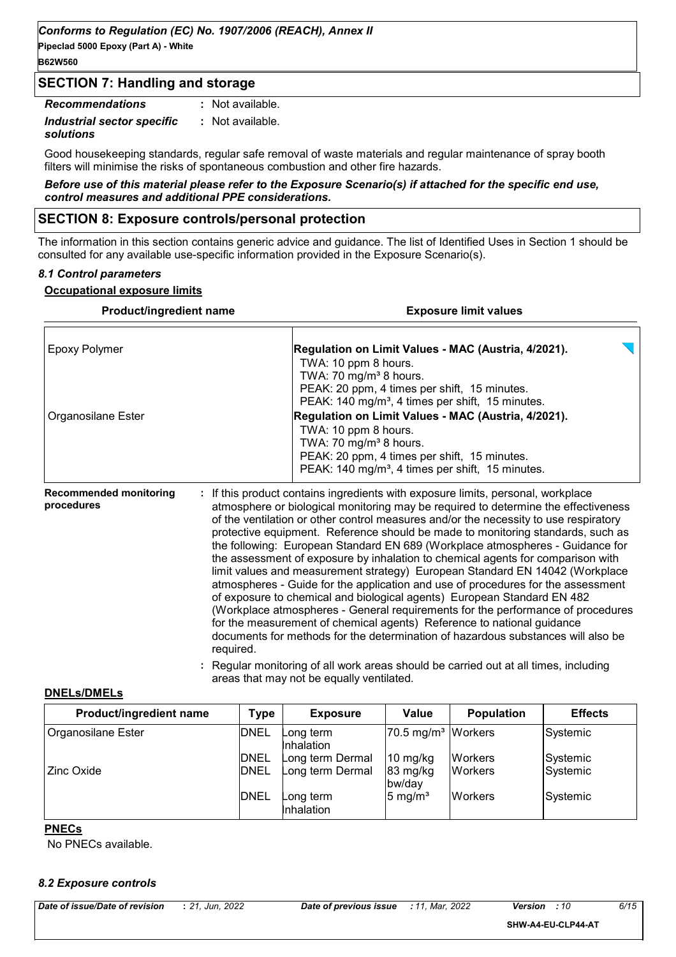**Pipeclad 5000 Epoxy (Part A) - White B62W560**

#### **SECTION 7: Handling and storage**

| <b>Recommendations</b>     | : Not available. |
|----------------------------|------------------|
| Industrial sector specific | : Not available. |
| solutions                  |                  |

Good housekeeping standards, regular safe removal of waste materials and regular maintenance of spray booth filters will minimise the risks of spontaneous combustion and other fire hazards.

*Before use of this material please refer to the Exposure Scenario(s) if attached for the specific end use, control measures and additional PPE considerations.*

#### **SECTION 8: Exposure controls/personal protection**

The information in this section contains generic advice and guidance. The list of Identified Uses in Section 1 should be consulted for any available use-specific information provided in the Exposure Scenario(s).

#### *8.1 Control parameters*

#### **Occupational exposure limits**

| Product/ingredient name                     | <b>Exposure limit values</b>                                                                                                                                                                                                                                                                                                                                                                                                                                                                                                                                                                                                                                                                                                                                                                                                                                                                                                                                                                                                                                                                                             |
|---------------------------------------------|--------------------------------------------------------------------------------------------------------------------------------------------------------------------------------------------------------------------------------------------------------------------------------------------------------------------------------------------------------------------------------------------------------------------------------------------------------------------------------------------------------------------------------------------------------------------------------------------------------------------------------------------------------------------------------------------------------------------------------------------------------------------------------------------------------------------------------------------------------------------------------------------------------------------------------------------------------------------------------------------------------------------------------------------------------------------------------------------------------------------------|
| Epoxy Polymer                               | Regulation on Limit Values - MAC (Austria, 4/2021).<br>TWA: 10 ppm 8 hours.<br>TWA: 70 mg/m <sup>3</sup> 8 hours.                                                                                                                                                                                                                                                                                                                                                                                                                                                                                                                                                                                                                                                                                                                                                                                                                                                                                                                                                                                                        |
| Organosilane Ester                          | PEAK: 20 ppm, 4 times per shift, 15 minutes.<br>PEAK: 140 mg/m <sup>3</sup> , 4 times per shift, 15 minutes.<br>Regulation on Limit Values - MAC (Austria, 4/2021).<br>TWA: 10 ppm 8 hours.<br>TWA: 70 mg/m <sup>3</sup> 8 hours.<br>PEAK: 20 ppm, 4 times per shift, 15 minutes.<br>PEAK: 140 mg/m <sup>3</sup> , 4 times per shift, 15 minutes.                                                                                                                                                                                                                                                                                                                                                                                                                                                                                                                                                                                                                                                                                                                                                                        |
| <b>Recommended monitoring</b><br>procedures | If this product contains ingredients with exposure limits, personal, workplace<br>atmosphere or biological monitoring may be required to determine the effectiveness<br>of the ventilation or other control measures and/or the necessity to use respiratory<br>protective equipment. Reference should be made to monitoring standards, such as<br>the following: European Standard EN 689 (Workplace atmospheres - Guidance for<br>the assessment of exposure by inhalation to chemical agents for comparison with<br>limit values and measurement strategy) European Standard EN 14042 (Workplace<br>atmospheres - Guide for the application and use of procedures for the assessment<br>of exposure to chemical and biological agents) European Standard EN 482<br>(Workplace atmospheres - General requirements for the performance of procedures<br>for the measurement of chemical agents) Reference to national guidance<br>documents for methods for the determination of hazardous substances will also be<br>required.<br>: Regular monitoring of all work areas should be carried out at all times, including |

#### areas that may not be equally ventilated.

#### **DNELs/DMELs**

| Product/ingredient name | Type        | <b>Exposure</b>         | Value                          | <b>Population</b> | <b>Effects</b> |
|-------------------------|-------------|-------------------------|--------------------------------|-------------------|----------------|
| Organosilane Ester      | <b>DNEL</b> | Long term<br>Inhalation | 70.5 mg/m <sup>3</sup> Workers |                   | Systemic       |
|                         | <b>DNEL</b> | Long term Dermal        | $10 \text{ mg/kg}$             | <b>Workers</b>    | Systemic       |
| Zinc Oxide              | <b>DNEL</b> | Long term Dermal        | $83 \text{ mg/kg}$<br>bw/day   | <b>IWorkers</b>   | Systemic_      |
|                         | <b>DNEL</b> | Long term<br>Inhalation | $5 \text{ mg/m}^3$             | <b>Workers</b>    | Systemic       |

#### **PNECs**

No PNECs available.

#### *8.2 Exposure controls*

**SHW-A4-EU-CLP44-AT**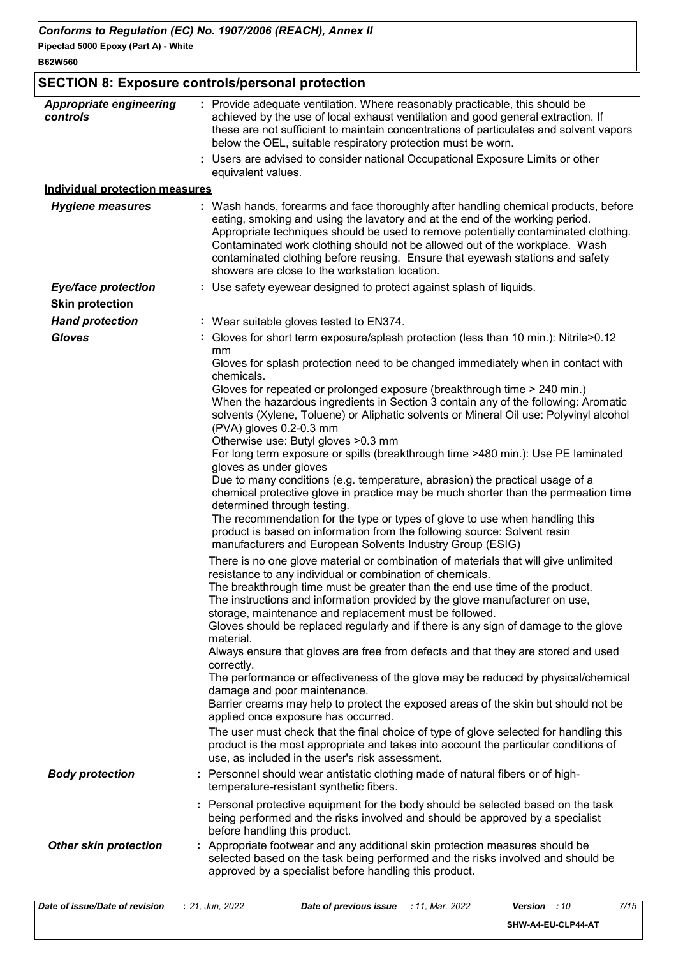**Pipeclad 5000 Epoxy (Part A) - White**

## **SECTION 8: Exposure controls/personal protection**

| <b>Appropriate engineering</b><br>controls                       | : Provide adequate ventilation. Where reasonably practicable, this should be<br>achieved by the use of local exhaust ventilation and good general extraction. If<br>these are not sufficient to maintain concentrations of particulates and solvent vapors<br>below the OEL, suitable respiratory protection must be worn.<br>: Users are advised to consider national Occupational Exposure Limits or other |
|------------------------------------------------------------------|--------------------------------------------------------------------------------------------------------------------------------------------------------------------------------------------------------------------------------------------------------------------------------------------------------------------------------------------------------------------------------------------------------------|
|                                                                  | equivalent values.                                                                                                                                                                                                                                                                                                                                                                                           |
| <b>Individual protection measures</b><br><b>Hygiene measures</b> | : Wash hands, forearms and face thoroughly after handling chemical products, before                                                                                                                                                                                                                                                                                                                          |
|                                                                  | eating, smoking and using the lavatory and at the end of the working period.<br>Appropriate techniques should be used to remove potentially contaminated clothing.<br>Contaminated work clothing should not be allowed out of the workplace. Wash<br>contaminated clothing before reusing. Ensure that eyewash stations and safety<br>showers are close to the workstation location.                         |
| Eye/face protection                                              | : Use safety eyewear designed to protect against splash of liquids.                                                                                                                                                                                                                                                                                                                                          |
| <b>Skin protection</b>                                           |                                                                                                                                                                                                                                                                                                                                                                                                              |
| <b>Hand protection</b>                                           | : Wear suitable gloves tested to EN374.                                                                                                                                                                                                                                                                                                                                                                      |
| <b>Gloves</b>                                                    | : Gloves for short term exposure/splash protection (less than 10 min.): Nitrile>0.12<br>mm                                                                                                                                                                                                                                                                                                                   |
|                                                                  | Gloves for splash protection need to be changed immediately when in contact with<br>chemicals.                                                                                                                                                                                                                                                                                                               |
|                                                                  | Gloves for repeated or prolonged exposure (breakthrough time > 240 min.)<br>When the hazardous ingredients in Section 3 contain any of the following: Aromatic<br>solvents (Xylene, Toluene) or Aliphatic solvents or Mineral Oil use: Polyvinyl alcohol<br>(PVA) gloves 0.2-0.3 mm<br>Otherwise use: Butyl gloves > 0.3 mm                                                                                  |
|                                                                  | For long term exposure or spills (breakthrough time >480 min.): Use PE laminated<br>gloves as under gloves                                                                                                                                                                                                                                                                                                   |
|                                                                  | Due to many conditions (e.g. temperature, abrasion) the practical usage of a<br>chemical protective glove in practice may be much shorter than the permeation time<br>determined through testing.                                                                                                                                                                                                            |
|                                                                  | The recommendation for the type or types of glove to use when handling this<br>product is based on information from the following source: Solvent resin<br>manufacturers and European Solvents Industry Group (ESIG)                                                                                                                                                                                         |
|                                                                  | There is no one glove material or combination of materials that will give unlimited<br>resistance to any individual or combination of chemicals.                                                                                                                                                                                                                                                             |
|                                                                  | The breakthrough time must be greater than the end use time of the product.<br>The instructions and information provided by the glove manufacturer on use,<br>storage, maintenance and replacement must be followed.                                                                                                                                                                                         |
|                                                                  | Gloves should be replaced regularly and if there is any sign of damage to the glove<br>material.                                                                                                                                                                                                                                                                                                             |
|                                                                  | Always ensure that gloves are free from defects and that they are stored and used<br>correctly.                                                                                                                                                                                                                                                                                                              |
|                                                                  | The performance or effectiveness of the glove may be reduced by physical/chemical<br>damage and poor maintenance.<br>Barrier creams may help to protect the exposed areas of the skin but should not be                                                                                                                                                                                                      |
|                                                                  | applied once exposure has occurred.                                                                                                                                                                                                                                                                                                                                                                          |
|                                                                  | The user must check that the final choice of type of glove selected for handling this<br>product is the most appropriate and takes into account the particular conditions of<br>use, as included in the user's risk assessment.                                                                                                                                                                              |
| <b>Body protection</b>                                           | : Personnel should wear antistatic clothing made of natural fibers or of high-<br>temperature-resistant synthetic fibers.                                                                                                                                                                                                                                                                                    |
|                                                                  | : Personal protective equipment for the body should be selected based on the task<br>being performed and the risks involved and should be approved by a specialist<br>before handling this product.                                                                                                                                                                                                          |
| <b>Other skin protection</b>                                     | : Appropriate footwear and any additional skin protection measures should be<br>selected based on the task being performed and the risks involved and should be<br>approved by a specialist before handling this product.                                                                                                                                                                                    |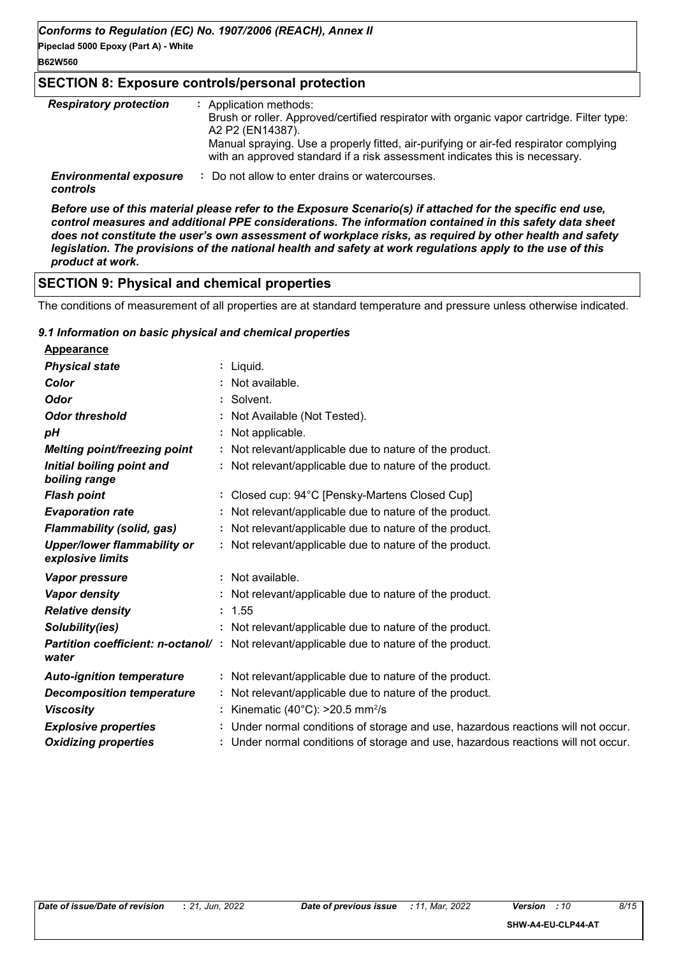### **B62W560**

## **SECTION 8: Exposure controls/personal protection**

| <b>Respiratory protection</b>             | : Application methods:<br>Brush or roller. Approved/certified respirator with organic vapor cartridge. Filter type:<br>A2 P2 (EN14387).<br>Manual spraying. Use a properly fitted, air-purifying or air-fed respirator complying<br>with an approved standard if a risk assessment indicates this is necessary. |
|-------------------------------------------|-----------------------------------------------------------------------------------------------------------------------------------------------------------------------------------------------------------------------------------------------------------------------------------------------------------------|
| <b>Environmental exposure</b><br>controls | : Do not allow to enter drains or watercourses.                                                                                                                                                                                                                                                                 |

*Before use of this material please refer to the Exposure Scenario(s) if attached for the specific end use, control measures and additional PPE considerations. The information contained in this safety data sheet does not constitute the user's own assessment of workplace risks, as required by other health and safety legislation. The provisions of the national health and safety at work regulations apply to the use of this product at work.*

## **SECTION 9: Physical and chemical properties**

The conditions of measurement of all properties are at standard temperature and pressure unless otherwise indicated.

#### *9.1 Information on basic physical and chemical properties*

| <b>Appearance</b>                                      |                                                                                                  |
|--------------------------------------------------------|--------------------------------------------------------------------------------------------------|
| <b>Physical state</b>                                  | : Liquid.                                                                                        |
| Color                                                  | : Not available.                                                                                 |
| <b>Odor</b>                                            | : Solvent.                                                                                       |
| <b>Odor threshold</b>                                  | : Not Available (Not Tested).                                                                    |
| рH                                                     | : Not applicable.                                                                                |
| <b>Melting point/freezing point</b>                    | : Not relevant/applicable due to nature of the product.                                          |
| Initial boiling point and<br>boiling range             | : Not relevant/applicable due to nature of the product.                                          |
| <b>Flash point</b>                                     | : Closed cup: 94°C [Pensky-Martens Closed Cup]                                                   |
| <b>Evaporation rate</b>                                | : Not relevant/applicable due to nature of the product.                                          |
| <b>Flammability (solid, gas)</b>                       | : Not relevant/applicable due to nature of the product.                                          |
| <b>Upper/lower flammability or</b><br>explosive limits | : Not relevant/applicable due to nature of the product.                                          |
| Vapor pressure                                         | : Not available.                                                                                 |
| <b>Vapor density</b>                                   | : Not relevant/applicable due to nature of the product.                                          |
| <b>Relative density</b>                                | : 1.55                                                                                           |
| Solubility(ies)                                        | : Not relevant/applicable due to nature of the product.                                          |
| water                                                  | <b>Partition coefficient: n-octanol/</b> : Not relevant/applicable due to nature of the product. |
| <b>Auto-ignition temperature</b>                       | : Not relevant/applicable due to nature of the product.                                          |
| <b>Decomposition temperature</b>                       | : Not relevant/applicable due to nature of the product.                                          |
| <b>Viscosity</b>                                       | : Kinematic (40°C): $>20.5$ mm <sup>2</sup> /s                                                   |
| <b>Explosive properties</b>                            | : Under normal conditions of storage and use, hazardous reactions will not occur.                |
| <b>Oxidizing properties</b>                            | : Under normal conditions of storage and use, hazardous reactions will not occur.                |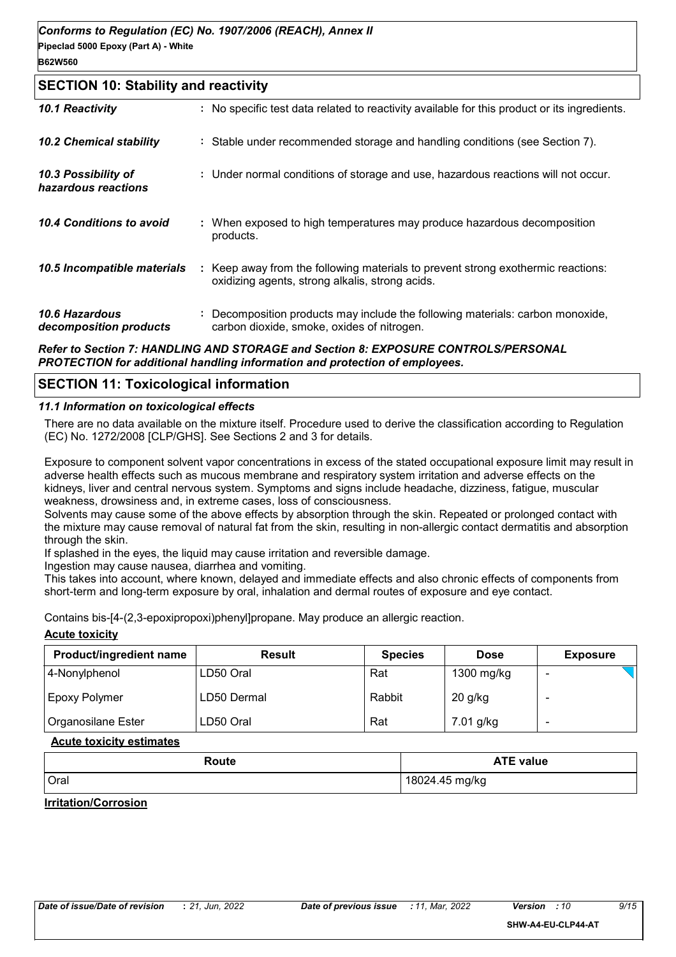#### **SECTION 10: Stability and reactivity**

| 10.1 Reactivity                            | : No specific test data related to reactivity available for this product or its ingredients.                                        |
|--------------------------------------------|-------------------------------------------------------------------------------------------------------------------------------------|
| <b>10.2 Chemical stability</b>             | : Stable under recommended storage and handling conditions (see Section 7).                                                         |
| 10.3 Possibility of<br>hazardous reactions | : Under normal conditions of storage and use, hazardous reactions will not occur.                                                   |
| 10.4 Conditions to avoid                   | : When exposed to high temperatures may produce hazardous decomposition<br>products.                                                |
| 10.5 Incompatible materials                | : Keep away from the following materials to prevent strong exothermic reactions:<br>oxidizing agents, strong alkalis, strong acids. |
| 10.6 Hazardous<br>decomposition products   | : Decomposition products may include the following materials: carbon monoxide,<br>carbon dioxide, smoke, oxides of nitrogen.        |
|                                            |                                                                                                                                     |

#### *Refer to Section 7: HANDLING AND STORAGE and Section 8: EXPOSURE CONTROLS/PERSONAL PROTECTION for additional handling information and protection of employees.*

#### **SECTION 11: Toxicological information**

#### *11.1 Information on toxicological effects*

There are no data available on the mixture itself. Procedure used to derive the classification according to Regulation (EC) No. 1272/2008 [CLP/GHS]. See Sections 2 and 3 for details.

Exposure to component solvent vapor concentrations in excess of the stated occupational exposure limit may result in adverse health effects such as mucous membrane and respiratory system irritation and adverse effects on the kidneys, liver and central nervous system. Symptoms and signs include headache, dizziness, fatigue, muscular weakness, drowsiness and, in extreme cases, loss of consciousness.

Solvents may cause some of the above effects by absorption through the skin. Repeated or prolonged contact with the mixture may cause removal of natural fat from the skin, resulting in non-allergic contact dermatitis and absorption through the skin.

If splashed in the eyes, the liquid may cause irritation and reversible damage.

Ingestion may cause nausea, diarrhea and vomiting.

This takes into account, where known, delayed and immediate effects and also chronic effects of components from short-term and long-term exposure by oral, inhalation and dermal routes of exposure and eye contact.

Contains bis-[4-(2,3-epoxipropoxi)phenyl]propane. May produce an allergic reaction.

#### **Acute toxicity**

| <b>Product/ingredient name</b> | <b>Result</b> | <b>Species</b> | <b>Dose</b> | <b>Exposure</b> |
|--------------------------------|---------------|----------------|-------------|-----------------|
| 4-Nonylphenol                  | LD50 Oral     | Rat            | 1300 mg/kg  |                 |
| <b>Epoxy Polymer</b>           | LD50 Dermal   | Rabbit         | $20$ g/kg   |                 |
| Organosilane Ester             | LD50 Oral     | Rat            | 7.01 g/kg   |                 |

#### **Acute toxicity estimates**

| Route | <b>ATE value</b> |
|-------|------------------|
| Oral  | l 18024.45 mg/kg |

#### **Irritation/Corrosion**

**SHW-A4-EU-CLP44-AT**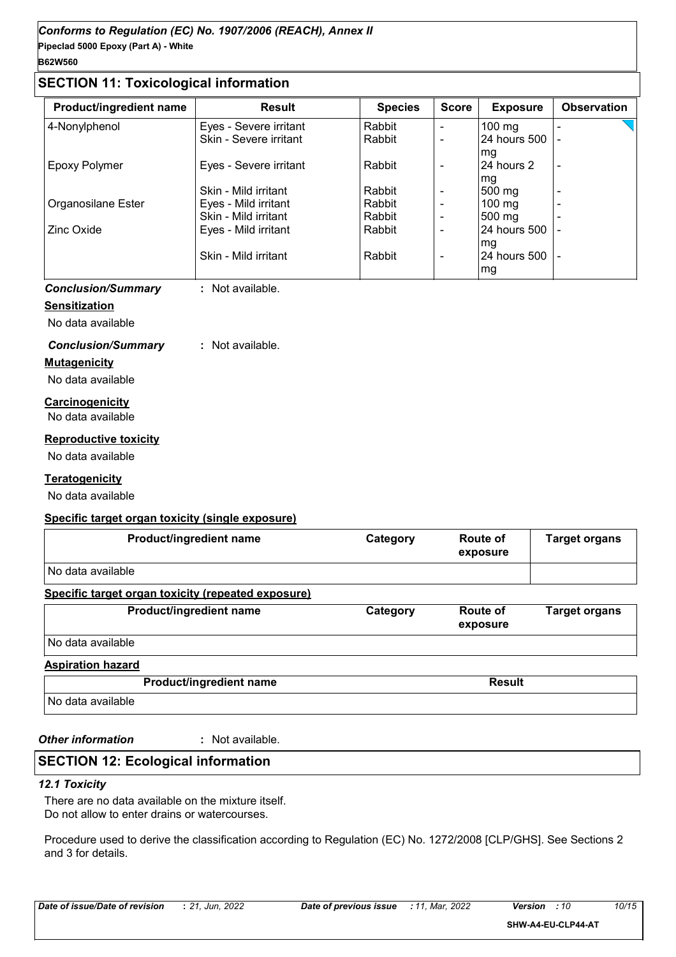#### **SECTION 11: Toxicological information**

| <b>Product/ingredient name</b> | <b>Result</b>          | <b>Species</b> | <b>Score</b> | <b>Exposure</b>  | <b>Observation</b> |
|--------------------------------|------------------------|----------------|--------------|------------------|--------------------|
| 4-Nonylphenol                  | Eyes - Severe irritant | Rabbit         | $\equiv$     | $100 \text{ mg}$ |                    |
|                                | Skin - Severe irritant | Rabbit         | -            | 24 hours 500     |                    |
|                                |                        |                |              | mg               |                    |
| Epoxy Polymer                  | Eyes - Severe irritant | Rabbit         | ۰            | 24 hours 2       | $\blacksquare$     |
|                                |                        |                |              | mg               |                    |
|                                | Skin - Mild irritant   | Rabbit         |              | 500 mg           |                    |
| Organosilane Ester             | Eyes - Mild irritant   | Rabbit         |              | 100 $mg$         |                    |
|                                | Skin - Mild irritant   | Rabbit         | -            | 500 mg           |                    |
| Zinc Oxide                     | Eyes - Mild irritant   | Rabbit         |              | l24 hours 500    |                    |
|                                |                        |                |              | mg               |                    |
|                                | Skin - Mild irritant   | Rabbit         | $\equiv$     | 124 hours 500 l  |                    |
|                                |                        |                |              | mg               |                    |

#### *Conclusion/Summary* **:** Not available.

#### **Sensitization**

No data available

#### *Conclusion/Summary* **:** Not available.

#### **Mutagenicity**

No data available

#### **Carcinogenicity** No data available

#### **Reproductive toxicity**

No data available

#### **Teratogenicity**

No data available

#### **Specific target organ toxicity (single exposure)**

| <b>Product/ingredient name</b>                     | Category | Route of<br>exposure | <b>Target organs</b> |
|----------------------------------------------------|----------|----------------------|----------------------|
| No data available                                  |          |                      |                      |
| Specific target organ toxicity (repeated exposure) |          |                      |                      |

| <b>Product/ingredient name</b> | Category | Route of<br>exposure | <b>Target organs</b> |
|--------------------------------|----------|----------------------|----------------------|
| No data available              |          |                      |                      |

#### **Aspiration hazard**

|                   | <b>Product/ingredient name</b> | <b>Result</b> |
|-------------------|--------------------------------|---------------|
| No data available |                                |               |

*Other information* **:**

: Not available.

## **SECTION 12: Ecological information**

#### *12.1 Toxicity*

There are no data available on the mixture itself. Do not allow to enter drains or watercourses.

Procedure used to derive the classification according to Regulation (EC) No. 1272/2008 [CLP/GHS]. See Sections 2 and 3 for details.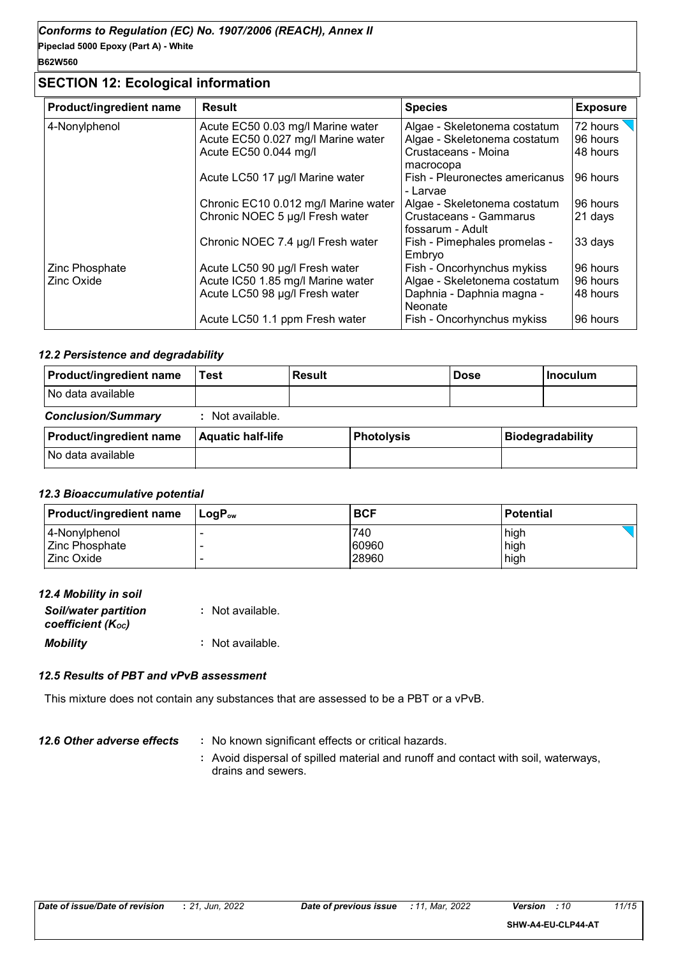**Pipeclad 5000 Epoxy (Part A) - White B62W560**

## **SECTION 12: Ecological information**

| <b>Product/ingredient name</b> | <b>Result</b>                        | <b>Species</b>                             | <b>Exposure</b> |
|--------------------------------|--------------------------------------|--------------------------------------------|-----------------|
| 4-Nonylphenol                  | Acute EC50 0.03 mg/l Marine water    | Algae - Skeletonema costatum               | 72 hours        |
|                                | Acute EC50 0.027 mg/l Marine water   | Algae - Skeletonema costatum               | 96 hours        |
|                                | Acute EC50 0.044 mg/l                | Crustaceans - Moina<br>macrocopa           | 48 hours        |
|                                | Acute LC50 17 µg/l Marine water      | Fish - Pleuronectes americanus<br>- Larvae | 96 hours        |
|                                | Chronic EC10 0.012 mg/l Marine water | Algae - Skeletonema costatum               | 96 hours        |
|                                | Chronic NOEC 5 µg/l Fresh water      | Crustaceans - Gammarus<br>fossarum - Adult | 21 days         |
|                                | Chronic NOEC 7.4 µg/l Fresh water    | Fish - Pimephales promelas -<br>Embryo     | 33 days         |
| Zinc Phosphate                 | Acute LC50 90 µg/l Fresh water       | Fish - Oncorhynchus mykiss                 | 96 hours        |
| Zinc Oxide                     | Acute IC50 1.85 mg/l Marine water    | Algae - Skeletonema costatum               | 96 hours        |
|                                | Acute LC50 98 µg/l Fresh water       | Daphnia - Daphnia magna -<br>Neonate       | 48 hours        |
|                                | Acute LC50 1.1 ppm Fresh water       | Fish - Oncorhynchus mykiss                 | 96 hours        |

#### *12.2 Persistence and degradability*

| <b>Product/ingredient name</b> | Гest                     | <b>Result</b> |                   | <b>Dose</b> | <b>Inoculum</b>         |
|--------------------------------|--------------------------|---------------|-------------------|-------------|-------------------------|
| I No data available            |                          |               |                   |             |                         |
| <b>Conclusion/Summary</b>      | : Not available.         |               |                   |             |                         |
| <b>Product/ingredient name</b> | <b>Aquatic half-life</b> |               | <b>Photolysis</b> |             | <b>Biodegradability</b> |
| No data available              |                          |               |                   |             |                         |

#### *12.3 Bioaccumulative potential*

| <b>Product/ingredient name</b> | ⊺LoɑP <sub>∾</sub> | <b>BCF</b> | Potential |
|--------------------------------|--------------------|------------|-----------|
| 4-Nonylphenol                  |                    | 740        | high      |
| Zinc Phosphate_                |                    | 60960      | high      |
| Zinc Oxide                     |                    | 28960      | high      |

| 12.4 Mobility in soil       |                  |
|-----------------------------|------------------|
| <b>Soil/water partition</b> | : Not available. |
| coefficient (Koc)           |                  |

*Mobility* **:** Not available.

#### *12.5 Results of PBT and vPvB assessment*

This mixture does not contain any substances that are assessed to be a PBT or a vPvB.

- *12.6 Other adverse effects* : No known significant effects or critical hazards.
	- **:** Avoid dispersal of spilled material and runoff and contact with soil, waterways, drains and sewers.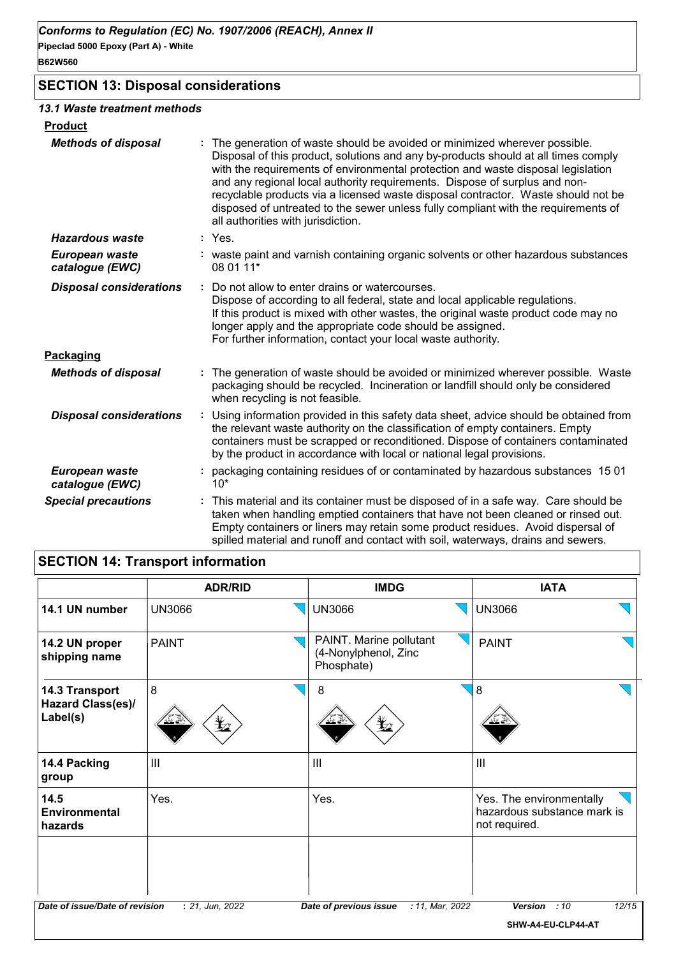## **SECTION 13: Disposal considerations**

#### *13.1 Waste treatment methods*

| <b>Product</b>                    |                                                                                                                                                                                                                                                                                                                                                                                                                                                                                                                                                    |
|-----------------------------------|----------------------------------------------------------------------------------------------------------------------------------------------------------------------------------------------------------------------------------------------------------------------------------------------------------------------------------------------------------------------------------------------------------------------------------------------------------------------------------------------------------------------------------------------------|
| <b>Methods of disposal</b>        | The generation of waste should be avoided or minimized wherever possible.<br>Disposal of this product, solutions and any by-products should at all times comply<br>with the requirements of environmental protection and waste disposal legislation<br>and any regional local authority requirements. Dispose of surplus and non-<br>recyclable products via a licensed waste disposal contractor. Waste should not be<br>disposed of untreated to the sewer unless fully compliant with the requirements of<br>all authorities with jurisdiction. |
| <b>Hazardous waste</b>            | $:$ Yes.                                                                                                                                                                                                                                                                                                                                                                                                                                                                                                                                           |
| European waste<br>catalogue (EWC) | : waste paint and varnish containing organic solvents or other hazardous substances<br>08 01 11*                                                                                                                                                                                                                                                                                                                                                                                                                                                   |
| <b>Disposal considerations</b>    | Do not allow to enter drains or watercourses.<br>÷<br>Dispose of according to all federal, state and local applicable regulations.<br>If this product is mixed with other wastes, the original waste product code may no<br>longer apply and the appropriate code should be assigned.<br>For further information, contact your local waste authority.                                                                                                                                                                                              |
| Packaging                         |                                                                                                                                                                                                                                                                                                                                                                                                                                                                                                                                                    |
| <b>Methods of disposal</b>        | The generation of waste should be avoided or minimized wherever possible. Waste<br>packaging should be recycled. Incineration or landfill should only be considered<br>when recycling is not feasible.                                                                                                                                                                                                                                                                                                                                             |
| <b>Disposal considerations</b>    | Using information provided in this safety data sheet, advice should be obtained from<br>the relevant waste authority on the classification of empty containers. Empty<br>containers must be scrapped or reconditioned. Dispose of containers contaminated<br>by the product in accordance with local or national legal provisions.                                                                                                                                                                                                                 |
| European waste<br>catalogue (EWC) | packaging containing residues of or contaminated by hazardous substances 1501<br>$10*$                                                                                                                                                                                                                                                                                                                                                                                                                                                             |
| <b>Special precautions</b>        | This material and its container must be disposed of in a safe way. Care should be<br>taken when handling emptied containers that have not been cleaned or rinsed out.<br>Empty containers or liners may retain some product residues. Avoid dispersal of<br>spilled material and runoff and contact with soil, waterways, drains and sewers.                                                                                                                                                                                                       |

## **SECTION 14: Transport information**

|                                                 | <b>ADR/RID</b>  | <b>IMDG</b>                                                                                       | <b>IATA</b>                                                              |
|-------------------------------------------------|-----------------|---------------------------------------------------------------------------------------------------|--------------------------------------------------------------------------|
| 14.1 UN number                                  | <b>UN3066</b>   | <b>UN3066</b>                                                                                     | <b>UN3066</b>                                                            |
| 14.2 UN proper<br>shipping name                 | <b>PAINT</b>    | PAINT. Marine pollutant<br>(4-Nonylphenol, Zinc<br>Phosphate)                                     | <b>PAINT</b>                                                             |
| 14.3 Transport<br>Hazard Class(es)/<br>Label(s) | 8<br>q          | 8<br>$\mathbf{\mathbf{\mathbf{\mathbf{\mathbf{\mathbf{\mathbf{\mathbf{\mathbf{\mathbf{Y}}}}}}}}}$ | 8                                                                        |
| 14.4 Packing<br>group                           | $\mathbf{III}$  | $\mathbf{III}$                                                                                    | $\mathbf{III}$                                                           |
| 14.5<br><b>Environmental</b><br>hazards         | Yes.            | Yes.                                                                                              | Yes. The environmentally<br>hazardous substance mark is<br>not required. |
| Date of issue/Date of revision                  | : 21, Jun, 2022 | : 11, Mar, 2022<br>Date of previous issue                                                         | 12/15<br><b>Version</b><br>:10<br>SHW-A4-EU-CLP44-AT                     |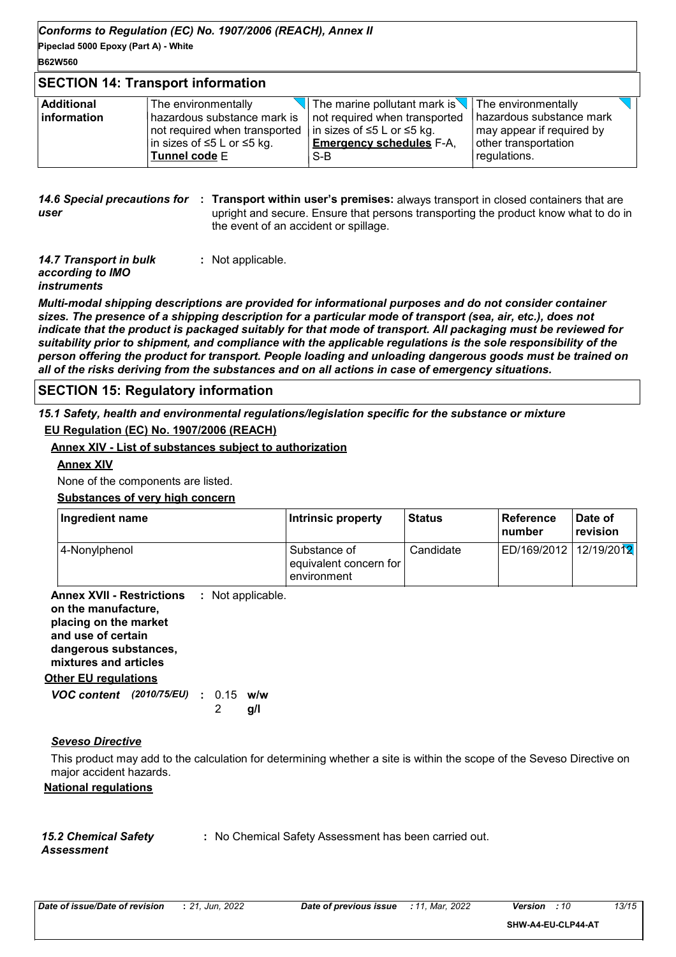*Conforms to Regulation (EC) No. 1907/2006 (REACH), Annex II*

**Pipeclad 5000 Epoxy (Part A) - White**

## **B62W560**

#### **SECTION 14: Transport information**

| $\sqrt{ }$ The marine pollutant mark is $\sqrt{ }$ The environmentally<br><b>Additional</b><br>The environmentally |  |
|--------------------------------------------------------------------------------------------------------------------|--|
| hazardous substance mark<br>linformation<br>hazardous substance mark is<br>not required when transported           |  |
| may appear if required by<br>in sizes of ≤5 L or ≤5 kg.<br>not required when transported                           |  |
| <b>Emergency schedules F-A.</b><br>other transportation<br> in sizes of ≤5 L or ≤5 kg.                             |  |
| Tunnel code E<br>regulations.<br>S-B                                                                               |  |

#### **14.6 Special precautions for : Transport within user's premises:** always transport in closed containers that are *user* upright and secure. Ensure that persons transporting the product know what to do in the event of an accident or spillage.

| 14.7 Transport in bulk | : Not applicable. |
|------------------------|-------------------|
| according to IMO       |                   |
| <i>instruments</i>     |                   |

*Multi-modal shipping descriptions are provided for informational purposes and do not consider container sizes. The presence of a shipping description for a particular mode of transport (sea, air, etc.), does not indicate that the product is packaged suitably for that mode of transport. All packaging must be reviewed for suitability prior to shipment, and compliance with the applicable regulations is the sole responsibility of the person offering the product for transport. People loading and unloading dangerous goods must be trained on all of the risks deriving from the substances and on all actions in case of emergency situations.*

## **SECTION 15: Regulatory information**

*15.1 Safety, health and environmental regulations/legislation specific for the substance or mixture* **EU Regulation (EC) No. 1907/2006 (REACH)**

#### **Annex XIV - List of substances subject to authorization**

#### **Annex XIV**

None of the components are listed.

#### **Substances of very high concern**

| Ingredient name | Intrinsic property                                    | <b>Status</b> | ∣ Reference<br>∣number | Date of<br>revision |
|-----------------|-------------------------------------------------------|---------------|------------------------|---------------------|
| 4-Nonylphenol   | Substance of<br>equivalent concern for<br>environment | Candidate     | ED/169/2012            | 12/19/2012          |

**Annex XVII - Restrictions on the manufacture, placing on the market and use of certain dangerous substances, mixtures and articles :** Not applicable.

#### **Other EU regulations**

*VOC content (2010/75/EU)* : 0.15 w/w **g/l** 2

#### *Seveso Directive*

This product may add to the calculation for determining whether a site is within the scope of the Seveso Directive on major accident hazards.

#### **National regulations**

*15.2 Chemical Safety Assessment*

**:** No Chemical Safety Assessment has been carried out.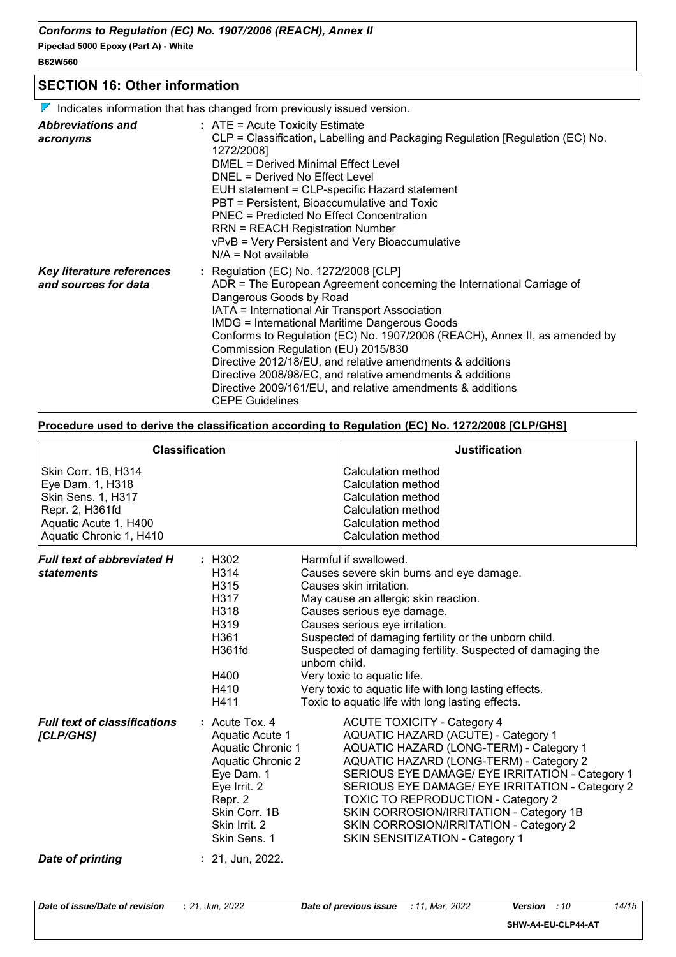#### **SECTION 16: Other information**

 $\nabla$  Indicates information that has changed from previously issued version.

| <b>Abbreviations and</b><br>acronyms              | $:$ ATE = Acute Toxicity Estimate<br>CLP = Classification, Labelling and Packaging Regulation [Regulation (EC) No.<br>1272/2008]<br>DMEL = Derived Minimal Effect Level<br>DNEL = Derived No Effect Level<br>EUH statement = CLP-specific Hazard statement<br>PBT = Persistent, Bioaccumulative and Toxic<br>PNEC = Predicted No Effect Concentration<br><b>RRN = REACH Registration Number</b><br>vPvB = Very Persistent and Very Bioaccumulative<br>$N/A = Not available$                                                                                                                |
|---------------------------------------------------|--------------------------------------------------------------------------------------------------------------------------------------------------------------------------------------------------------------------------------------------------------------------------------------------------------------------------------------------------------------------------------------------------------------------------------------------------------------------------------------------------------------------------------------------------------------------------------------------|
| Key literature references<br>and sources for data | : Regulation (EC) No. 1272/2008 [CLP]<br>ADR = The European Agreement concerning the International Carriage of<br>Dangerous Goods by Road<br>IATA = International Air Transport Association<br><b>IMDG = International Maritime Dangerous Goods</b><br>Conforms to Regulation (EC) No. 1907/2006 (REACH), Annex II, as amended by<br>Commission Regulation (EU) 2015/830<br>Directive 2012/18/EU, and relative amendments & additions<br>Directive 2008/98/EC, and relative amendments & additions<br>Directive 2009/161/EU, and relative amendments & additions<br><b>CEPE Guidelines</b> |

#### **Procedure used to derive the classification according to Regulation (EC) No. 1272/2008 [CLP/GHS]**

|                                                                                                                                      | <b>Classification</b>                                                                                                                                                    | <b>Justification</b>                                                                                                                                                                                                                                                                                                                                                                                                                                                   |
|--------------------------------------------------------------------------------------------------------------------------------------|--------------------------------------------------------------------------------------------------------------------------------------------------------------------------|------------------------------------------------------------------------------------------------------------------------------------------------------------------------------------------------------------------------------------------------------------------------------------------------------------------------------------------------------------------------------------------------------------------------------------------------------------------------|
| Skin Corr. 1B, H314<br>Eye Dam. 1, H318<br>Skin Sens. 1, H317<br>Repr. 2, H361fd<br>Aquatic Acute 1, H400<br>Aquatic Chronic 1, H410 |                                                                                                                                                                          | Calculation method<br>Calculation method<br>Calculation method<br>Calculation method<br>Calculation method<br>Calculation method                                                                                                                                                                                                                                                                                                                                       |
| <b>Full text of abbreviated H</b><br><b>statements</b>                                                                               | : H302<br>H314<br>H315<br>H317<br>H318<br>H319<br>H361<br>H361fd<br>unborn child.<br>H400<br>H410<br>H411                                                                | Harmful if swallowed.<br>Causes severe skin burns and eye damage.<br>Causes skin irritation.<br>May cause an allergic skin reaction.<br>Causes serious eye damage.<br>Causes serious eye irritation.<br>Suspected of damaging fertility or the unborn child.<br>Suspected of damaging fertility. Suspected of damaging the<br>Very toxic to aquatic life.<br>Very toxic to aquatic life with long lasting effects.<br>Toxic to aquatic life with long lasting effects. |
| <b>Full text of classifications</b><br>[CLP/GHS]                                                                                     | $:$ Acute Tox. 4<br>Aquatic Acute 1<br>Aquatic Chronic 1<br>Aquatic Chronic 2<br>Eye Dam. 1<br>Eye Irrit. 2<br>Repr. 2<br>Skin Corr. 1B<br>Skin Irrit. 2<br>Skin Sens. 1 | <b>ACUTE TOXICITY - Category 4</b><br><b>AQUATIC HAZARD (ACUTE) - Category 1</b><br>AQUATIC HAZARD (LONG-TERM) - Category 1<br>AQUATIC HAZARD (LONG-TERM) - Category 2<br>SERIOUS EYE DAMAGE/ EYE IRRITATION - Category 1<br>SERIOUS EYE DAMAGE/ EYE IRRITATION - Category 2<br><b>TOXIC TO REPRODUCTION - Category 2</b><br>SKIN CORROSION/IRRITATION - Category 1B<br>SKIN CORROSION/IRRITATION - Category 2<br>SKIN SENSITIZATION - Category 1                      |
| <b>Date of printing</b>                                                                                                              | $: 21,$ Jun, 2022.                                                                                                                                                       |                                                                                                                                                                                                                                                                                                                                                                                                                                                                        |